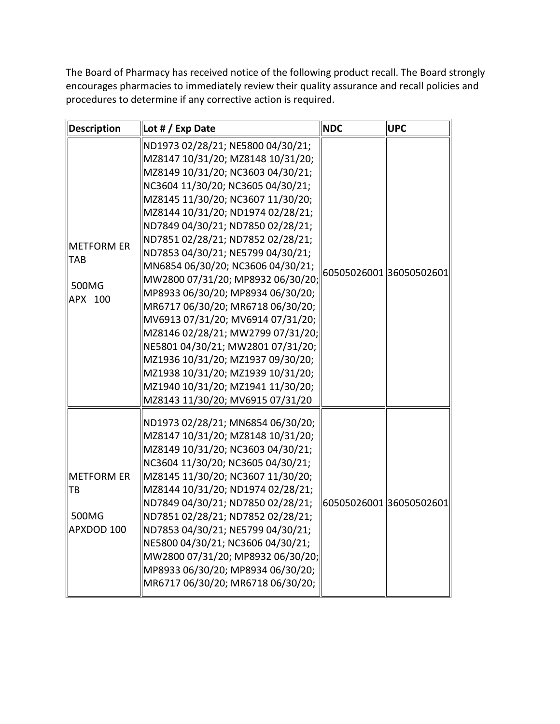The Board of Pharmacy has received notice of the following product recall. The Board strongly encourages pharmacies to immediately review their quality assurance and recall policies and procedures to determine if any corrective action is required.

| Description                                    | Lot # / Exp Date                                                                                                                                                                                                                                                                                                                                                                                                                                                                                                                                                                                                                                                                                                                                                | <b>NDC</b> | <b>UPC</b>              |
|------------------------------------------------|-----------------------------------------------------------------------------------------------------------------------------------------------------------------------------------------------------------------------------------------------------------------------------------------------------------------------------------------------------------------------------------------------------------------------------------------------------------------------------------------------------------------------------------------------------------------------------------------------------------------------------------------------------------------------------------------------------------------------------------------------------------------|------------|-------------------------|
| METFORM ER<br><b>TAB</b><br>500MG<br>APX 100   | ND1973 02/28/21; NE5800 04/30/21;<br>MZ8147 10/31/20; MZ8148 10/31/20;<br>MZ8149 10/31/20; NC3603 04/30/21;<br>NC3604 11/30/20; NC3605 04/30/21;<br>MZ8145 11/30/20; NC3607 11/30/20;<br>MZ8144 10/31/20; ND1974 02/28/21;<br>ND7849 04/30/21; ND7850 02/28/21;<br>ND7851 02/28/21; ND7852 02/28/21;<br>ND7853 04/30/21; NE5799 04/30/21;<br>MN6854 06/30/20; NC3606 04/30/21;<br>MW2800 07/31/20; MP8932 06/30/20;<br>MP8933 06/30/20; MP8934 06/30/20;<br>MR6717 06/30/20; MR6718 06/30/20;<br>MV6913 07/31/20; MV6914 07/31/20;<br>MZ8146 02/28/21; MW2799 07/31/20;<br>NE5801 04/30/21; MW2801 07/31/20;<br>MZ1936 10/31/20; MZ1937 09/30/20;<br>MZ1938 10/31/20; MZ1939 10/31/20;<br>MZ1940 10/31/20; MZ1941 11/30/20;<br>MZ8143 11/30/20; MV6915 07/31/20 |            | 60505026001 36050502601 |
| <b>METFORM ER</b><br>TB<br>500MG<br>APXDOD 100 | ND1973 02/28/21; MN6854 06/30/20;<br>MZ8147 10/31/20; MZ8148 10/31/20;<br>MZ8149 10/31/20; NC3603 04/30/21;<br>NC3604 11/30/20; NC3605 04/30/21;<br>MZ8145 11/30/20; NC3607 11/30/20;<br>MZ8144 10/31/20; ND1974 02/28/21;<br>ND7849 04/30/21; ND7850 02/28/21;<br>ND7851 02/28/21; ND7852 02/28/21;<br>ND7853 04/30/21; NE5799 04/30/21;<br>NE5800 04/30/21; NC3606 04/30/21;<br>MW2800 07/31/20; MP8932 06/30/20;<br>MP8933 06/30/20; MP8934 06/30/20;<br>MR6717 06/30/20; MR6718 06/30/20;                                                                                                                                                                                                                                                                   |            | 60505026001 36050502601 |